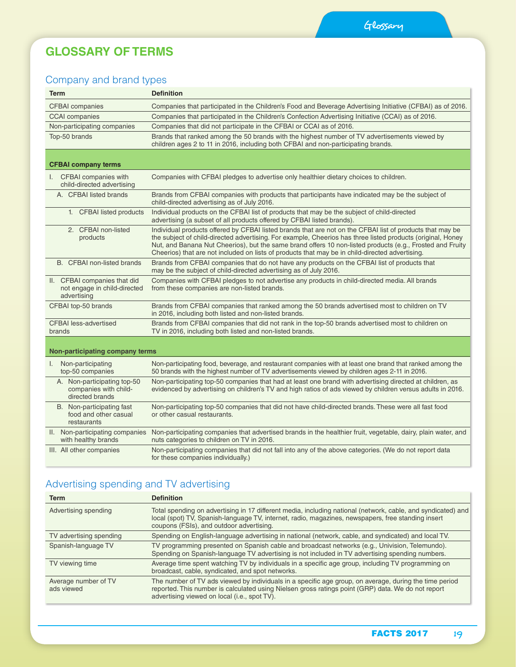### **GLOSSARY OF TERMS**

### Company and brand types

| <b>Term</b>                                                                 | <b>Definition</b>                                                                                                                                                                                                                                                                                                                                                                                                                        |
|-----------------------------------------------------------------------------|------------------------------------------------------------------------------------------------------------------------------------------------------------------------------------------------------------------------------------------------------------------------------------------------------------------------------------------------------------------------------------------------------------------------------------------|
| <b>CFBAI</b> companies                                                      | Companies that participated in the Children's Food and Beverage Advertising Initiative (CFBAI) as of 2016.                                                                                                                                                                                                                                                                                                                               |
| <b>CCAI</b> companies                                                       | Companies that participated in the Children's Confection Advertising Initiative (CCAI) as of 2016.                                                                                                                                                                                                                                                                                                                                       |
| Non-participating companies                                                 | Companies that did not participate in the CFBAI or CCAI as of 2016.                                                                                                                                                                                                                                                                                                                                                                      |
| Top-50 brands                                                               | Brands that ranked among the 50 brands with the highest number of TV advertisements viewed by<br>children ages 2 to 11 in 2016, including both CFBAI and non-participating brands.                                                                                                                                                                                                                                                       |
| <b>CFBAI company terms</b>                                                  |                                                                                                                                                                                                                                                                                                                                                                                                                                          |
| CFBAI companies with<br>$\mathbf{L}$<br>child-directed advertising          | Companies with CFBAI pledges to advertise only healthier dietary choices to children.                                                                                                                                                                                                                                                                                                                                                    |
| A. CFBAI listed brands                                                      | Brands from CFBAI companies with products that participants have indicated may be the subject of<br>child-directed advertising as of July 2016.                                                                                                                                                                                                                                                                                          |
| 1. CFBAI listed products                                                    | Individual products on the CFBAI list of products that may be the subject of child-directed<br>advertising (a subset of all products offered by CFBAI listed brands).                                                                                                                                                                                                                                                                    |
| 2. CFBAI non-listed<br>products                                             | Individual products offered by CFBAI listed brands that are not on the CFBAI list of products that may be<br>the subject of child-directed advertising. For example, Cheerios has three listed products (original, Honey<br>Nut, and Banana Nut Cheerios), but the same brand offers 10 non-listed products (e.g., Frosted and Fruity<br>Cheerios) that are not included on lists of products that may be in child-directed advertising. |
| B. CFBAI non-listed brands                                                  | Brands from CFBAI companies that do not have any products on the CFBAI list of products that<br>may be the subject of child-directed advertising as of July 2016.                                                                                                                                                                                                                                                                        |
| II. CFBAI companies that did<br>not engage in child-directed<br>advertising | Companies with CFBAI pledges to not advertise any products in child-directed media. All brands<br>from these companies are non-listed brands.                                                                                                                                                                                                                                                                                            |
| CFBAI top-50 brands                                                         | Brands from CFBAI companies that ranked among the 50 brands advertised most to children on TV<br>in 2016, including both listed and non-listed brands.                                                                                                                                                                                                                                                                                   |
| <b>CFBAI</b> less-advertised<br>brands                                      | Brands from CFBAI companies that did not rank in the top-50 brands advertised most to children on<br>TV in 2016, including both listed and non-listed brands.                                                                                                                                                                                                                                                                            |
| Non-participating company terms                                             |                                                                                                                                                                                                                                                                                                                                                                                                                                          |
| Non-participating<br>I.<br>top-50 companies                                 | Non-participating food, beverage, and restaurant companies with at least one brand that ranked among the<br>50 brands with the highest number of TV advertisements viewed by children ages 2-11 in 2016.                                                                                                                                                                                                                                 |
| A. Non-participating top-50<br>companies with child-<br>directed brands     | Non-participating top-50 companies that had at least one brand with advertising directed at children, as<br>evidenced by advertising on children's TV and high ratios of ads viewed by children versus adults in 2016.                                                                                                                                                                                                                   |
| B. Non-participating fast<br>food and other casual<br>restaurants           | Non-participating top-50 companies that did not have child-directed brands. These were all fast food<br>or other casual restaurants.                                                                                                                                                                                                                                                                                                     |
| II. Non-participating companies<br>with healthy brands                      | Non-participating companies that advertised brands in the healthier fruit, vegetable, dairy, plain water, and<br>nuts categories to children on TV in 2016.                                                                                                                                                                                                                                                                              |
| III. All other companies                                                    | Non-participating companies that did not fall into any of the above categories. (We do not report data<br>for these companies individually.)                                                                                                                                                                                                                                                                                             |

## Advertising spending and TV advertising

| <b>Term</b>                        | <b>Definition</b>                                                                                                                                                                                                                                              |
|------------------------------------|----------------------------------------------------------------------------------------------------------------------------------------------------------------------------------------------------------------------------------------------------------------|
| Advertising spending               | Total spending on advertising in 17 different media, including national (network, cable, and syndicated) and<br>local (spot) TV, Spanish-language TV, internet, radio, magazines, newspapers, free standing insert<br>coupons (FSIs), and outdoor advertising. |
| TV advertising spending            | Spending on English-language advertising in national (network, cable, and syndicated) and local TV.                                                                                                                                                            |
| Spanish-language TV                | TV programming presented on Spanish cable and broadcast networks (e.g., Univision, Telemundo).<br>Spending on Spanish-language TV advertising is not included in TV advertising spending numbers.                                                              |
| TV viewing time                    | Average time spent watching TV by individuals in a specific age group, including TV programming on<br>broadcast, cable, syndicated, and spot networks.                                                                                                         |
| Average number of TV<br>ads viewed | The number of TV ads viewed by individuals in a specific age group, on average, during the time period<br>reported. This number is calculated using Nielsen gross ratings point (GRP) data. We do not report<br>advertising viewed on local (i.e., spot TV).   |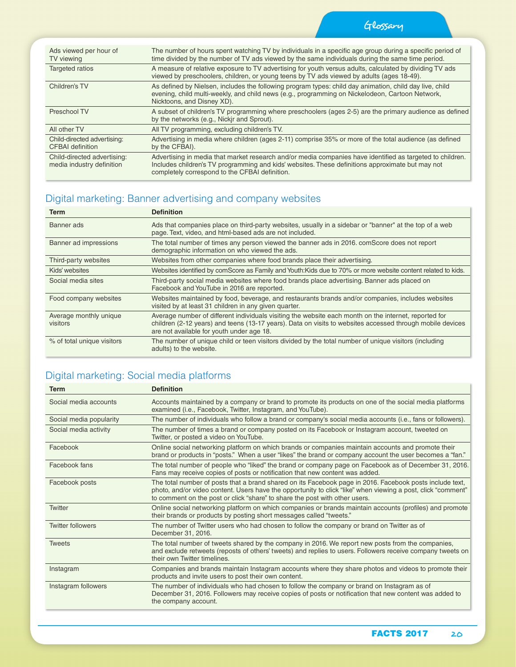Glossary

| Ads viewed per hour of<br>TV viewing                     | The number of hours spent watching TV by individuals in a specific age group during a specific period of<br>time divided by the number of TV ads viewed by the same individuals during the same time period.                                                    |
|----------------------------------------------------------|-----------------------------------------------------------------------------------------------------------------------------------------------------------------------------------------------------------------------------------------------------------------|
| <b>Targeted ratios</b>                                   | A measure of relative exposure to TV advertising for youth versus adults, calculated by dividing TV ads<br>viewed by preschoolers, children, or young teens by TV ads viewed by adults (ages 18-49).                                                            |
| Children's TV                                            | As defined by Nielsen, includes the following program types: child day animation, child day live, child<br>evening, child multi-weekly, and child news (e.g., programming on Nickelodeon, Cartoon Network,<br>Nicktoons, and Disney XD).                        |
| Preschool TV                                             | A subset of children's TV programming where preschoolers (ages 2-5) are the primary audience as defined<br>by the networks (e.g., Nickir and Sprout).                                                                                                           |
| All other TV                                             | All TV programming, excluding children's TV.                                                                                                                                                                                                                    |
| Child-directed advertising:<br><b>CFBAI</b> definition   | Advertising in media where children (ages 2-11) comprise 35% or more of the total audience (as defined<br>by the CFBAI).                                                                                                                                        |
| Child-directed advertising:<br>media industry definition | Advertising in media that market research and/or media companies have identified as targeted to children.<br>Includes children's TV programming and kids' websites. These definitions approximate but may not<br>completely correspond to the CFBAI definition. |

### Digital marketing: Banner advertising and company websites

| Term                               | <b>Definition</b>                                                                                                                                                                                                                                               |
|------------------------------------|-----------------------------------------------------------------------------------------------------------------------------------------------------------------------------------------------------------------------------------------------------------------|
| Banner ads                         | Ads that companies place on third-party websites, usually in a sidebar or "banner" at the top of a web<br>page. Text, video, and html-based ads are not included.                                                                                               |
| Banner ad impressions              | The total number of times any person viewed the banner ads in 2016, comScore does not report<br>demographic information on who viewed the ads.                                                                                                                  |
| Third-party websites               | Websites from other companies where food brands place their advertising.                                                                                                                                                                                        |
| Kids' websites                     | Websites identified by comScore as Family and Youth: Kids due to 70% or more website content related to kids.                                                                                                                                                   |
| Social media sites                 | Third-party social media websites where food brands place advertising. Banner ads placed on<br>Facebook and YouTube in 2016 are reported.                                                                                                                       |
| Food company websites              | Websites maintained by food, beverage, and restaurants brands and/or companies, includes websites<br>visited by at least 31 children in any given quarter.                                                                                                      |
| Average monthly unique<br>visitors | Average number of different individuals visiting the website each month on the internet, reported for<br>children (2-12 years) and teens (13-17 years). Data on visits to websites accessed through mobile devices<br>are not available for youth under age 18. |
| % of total unique visitors         | The number of unique child or teen visitors divided by the total number of unique visitors (including<br>adults) to the website.                                                                                                                                |

#### Digital marketing: Social media platforms

| <b>Term</b>              | <b>Definition</b>                                                                                                                                                                                                                                                                                       |
|--------------------------|---------------------------------------------------------------------------------------------------------------------------------------------------------------------------------------------------------------------------------------------------------------------------------------------------------|
| Social media accounts    | Accounts maintained by a company or brand to promote its products on one of the social media platforms<br>examined (i.e., Facebook, Twitter, Instagram, and YouTube).                                                                                                                                   |
| Social media popularity  | The number of individuals who follow a brand or company's social media accounts (i.e., fans or followers).                                                                                                                                                                                              |
| Social media activity    | The number of times a brand or company posted on its Facebook or Instagram account, tweeted on<br>Twitter, or posted a video on YouTube.                                                                                                                                                                |
| Facebook                 | Online social networking platform on which brands or companies maintain accounts and promote their<br>brand or products in "posts." When a user "likes" the brand or company account the user becomes a "fan."                                                                                          |
| Facebook fans            | The total number of people who "liked" the brand or company page on Facebook as of December 31, 2016.<br>Fans may receive copies of posts or notification that new content was added.                                                                                                                   |
| Facebook posts           | The total number of posts that a brand shared on its Facebook page in 2016. Facebook posts include text,<br>photo, and/or video content. Users have the opportunity to click "like" when viewing a post, click "comment"<br>to comment on the post or click "share" to share the post with other users. |
| Twitter                  | Online social networking platform on which companies or brands maintain accounts (profiles) and promote<br>their brands or products by posting short messages called "tweets."                                                                                                                          |
| <b>Twitter followers</b> | The number of Twitter users who had chosen to follow the company or brand on Twitter as of<br>December 31, 2016.                                                                                                                                                                                        |
| <b>Tweets</b>            | The total number of tweets shared by the company in 2016. We report new posts from the companies,<br>and exclude retweets (reposts of others' tweets) and replies to users. Followers receive company tweets on<br>their own Twitter timelines.                                                         |
| Instagram                | Companies and brands maintain Instagram accounts where they share photos and videos to promote their<br>products and invite users to post their own content.                                                                                                                                            |
| Instagram followers      | The number of individuals who had chosen to follow the company or brand on Instagram as of<br>December 31, 2016. Followers may receive copies of posts or notification that new content was added to<br>the company account.                                                                            |